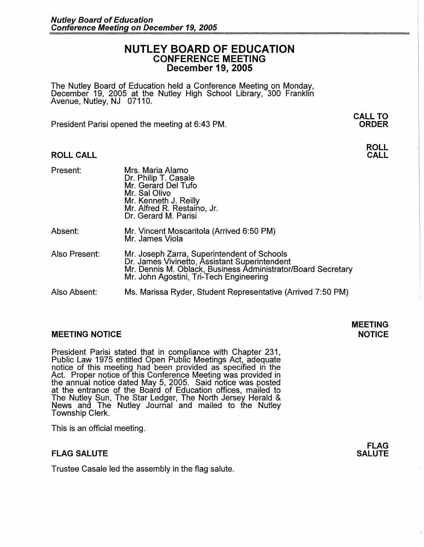## **NUTLEY BOARD OF EDUCATION CONFERENCE MEETING December 19, 2005**

The Nutley Board of Education held a Conference Meeting on Monday, December 19, 2005 at the Nutley High School Library, 300 Franklin Avenue, Nutley, NJ 07110.

President Parisi opened the meeting at 6:43 PM.

Mrs. Maria Alamo

### **ROLL CALL**

Present:

| Piesent.      | MIS. Mana Alamo<br>Dr. Philip T. Casale<br>Mr. Gerard Del Tufo<br>Mr. Sal Olivo<br>Mr. Kenneth J. Reilly<br>Mr. Alfred R. Restaino, Jr.<br>Dr. Gerard M. Parisi                                         |
|---------------|---------------------------------------------------------------------------------------------------------------------------------------------------------------------------------------------------------|
| Absent:       | Mr. Vincent Moscaritola (Arrived 6:50 PM)<br>Mr. James Viola                                                                                                                                            |
| Also Present: | Mr. Joseph Zarra, Superintendent of Schools<br>Dr. James Vivinetto, Assistant Superintendent<br>Mr. Dennis M. Oblack, Business Administrator/Board Secretary<br>Mr. John Agostini, Tri-Tech Engineering |
| Also Absent:  | Ms. Marissa Ryder, Student Representative (Arrived 7:50 PM)                                                                                                                                             |

### **MEETING NOTICE**

President Parisi stated that in compliance with Chapter 231, Public Law 1975 entitled Open Public Meetings Act, adequate notice of this meeting had been provided as specified in the Act. Proper notice of this Conference Meeting was provided in the annual notice dated May 5, 2005. Said notice was posted at the entrance of the Board of Education offices, mailed to The Nutley Sun, The Star Ledger, The North Jersey Herald & News and The Nutley Journal and mailed to the Nutley Township Clerk.

This is an official meeting.

### **FLAG SALUTE**

Trustee Casale led the assembly in the flag salute.



**MEETING NOTICE** 

**CALL TO ORDER** 

# **CALL**

**ROLL**